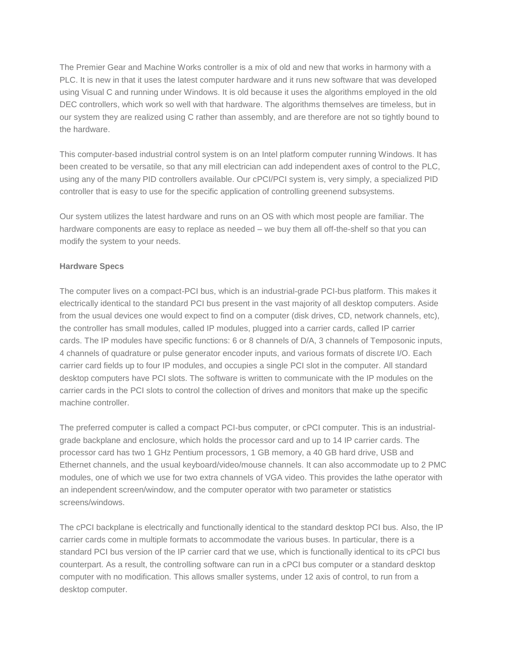The Premier Gear and Machine Works controller is a mix of old and new that works in harmony with a PLC. It is new in that it uses the latest computer hardware and it runs new software that was developed using Visual C and running under Windows. It is old because it uses the algorithms employed in the old DEC controllers, which work so well with that hardware. The algorithms themselves are timeless, but in our system they are realized using C rather than assembly, and are therefore are not so tightly bound to the hardware.

This computer-based industrial control system is on an Intel platform computer running Windows. It has been created to be versatile, so that any mill electrician can add independent axes of control to the PLC, using any of the many PID controllers available. Our cPCI/PCI system is, very simply, a specialized PID controller that is easy to use for the specific application of controlling greenend subsystems.

Our system utilizes the latest hardware and runs on an OS with which most people are familiar. The hardware components are easy to replace as needed – we buy them all off-the-shelf so that you can modify the system to your needs.

## **Hardware Specs**

The computer lives on a compact-PCI bus, which is an industrial-grade PCI-bus platform. This makes it electrically identical to the standard PCI bus present in the vast majority of all desktop computers. Aside from the usual devices one would expect to find on a computer (disk drives, CD, network channels, etc), the controller has small modules, called IP modules, plugged into a carrier cards, called IP carrier cards. The IP modules have specific functions: 6 or 8 channels of D/A, 3 channels of Temposonic inputs, 4 channels of quadrature or pulse generator encoder inputs, and various formats of discrete I/O. Each carrier card fields up to four IP modules, and occupies a single PCI slot in the computer. All standard desktop computers have PCI slots. The software is written to communicate with the IP modules on the carrier cards in the PCI slots to control the collection of drives and monitors that make up the specific machine controller.

The preferred computer is called a compact PCI-bus computer, or cPCI computer. This is an industrialgrade backplane and enclosure, which holds the processor card and up to 14 IP carrier cards. The processor card has two 1 GHz Pentium processors, 1 GB memory, a 40 GB hard drive, USB and Ethernet channels, and the usual keyboard/video/mouse channels. It can also accommodate up to 2 PMC modules, one of which we use for two extra channels of VGA video. This provides the lathe operator with an independent screen/window, and the computer operator with two parameter or statistics screens/windows.

The cPCI backplane is electrically and functionally identical to the standard desktop PCI bus. Also, the IP carrier cards come in multiple formats to accommodate the various buses. In particular, there is a standard PCI bus version of the IP carrier card that we use, which is functionally identical to its cPCI bus counterpart. As a result, the controlling software can run in a cPCI bus computer or a standard desktop computer with no modification. This allows smaller systems, under 12 axis of control, to run from a desktop computer.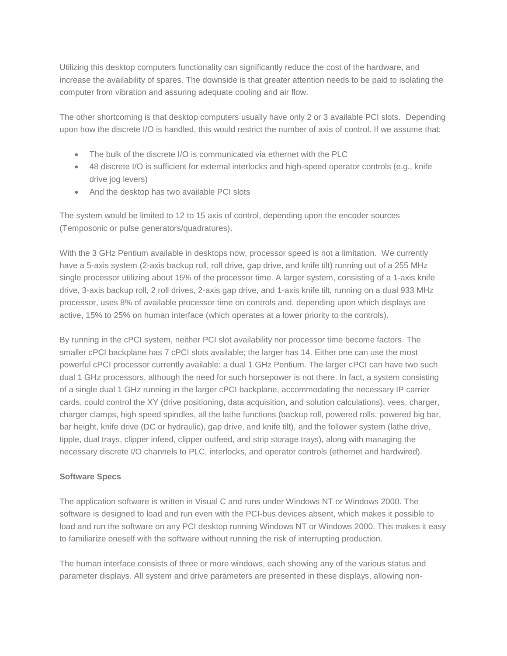Utilizing this desktop computers functionality can significantly reduce the cost of the hardware, and increase the availability of spares. The downside is that greater attention needs to be paid to isolating the computer from vibration and assuring adequate cooling and air flow.

The other shortcoming is that desktop computers usually have only 2 or 3 available PCI slots. Depending upon how the discrete I/O is handled, this would restrict the number of axis of control. If we assume that:

- The bulk of the discrete I/O is communicated via ethernet with the PLC
- 48 discrete I/O is sufficient for external interlocks and high-speed operator controls (e.g., knife drive jog levers)
- And the desktop has two available PCI slots

The system would be limited to 12 to 15 axis of control, depending upon the encoder sources (Temposonic or pulse generators/quadratures).

With the 3 GHz Pentium available in desktops now, processor speed is not a limitation. We currently have a 5-axis system (2-axis backup roll, roll drive, gap drive, and knife tilt) running out of a 255 MHz single processor utilizing about 15% of the processor time. A larger system, consisting of a 1-axis knife drive, 3-axis backup roll, 2 roll drives, 2-axis gap drive, and 1-axis knife tilt, running on a dual 933 MHz processor, uses 8% of available processor time on controls and, depending upon which displays are active, 15% to 25% on human interface (which operates at a lower priority to the controls).

By running in the cPCI system, neither PCI slot availability nor processor time become factors. The smaller cPCI backplane has 7 cPCI slots available; the larger has 14. Either one can use the most powerful cPCI processor currently available: a dual 1 GHz Pentium. The larger cPCI can have two such dual 1 GHz processors, although the need for such horsepower is not there. In fact, a system consisting of a single dual 1 GHz running in the larger cPCI backplane, accommodating the necessary IP carrier cards, could control the XY (drive positioning, data acquisition, and solution calculations), vees, charger, charger clamps, high speed spindles, all the lathe functions (backup roll, powered rolls, powered big bar, bar height, knife drive (DC or hydraulic), gap drive, and knife tilt), and the follower system (lathe drive, tipple, dual trays, clipper infeed, clipper outfeed, and strip storage trays), along with managing the necessary discrete I/O channels to PLC, interlocks, and operator controls (ethernet and hardwired).

## **Software Specs**

The application software is written in Visual C and runs under Windows NT or Windows 2000. The software is designed to load and run even with the PCI-bus devices absent, which makes it possible to load and run the software on any PCI desktop running Windows NT or Windows 2000. This makes it easy to familiarize oneself with the software without running the risk of interrupting production.

The human interface consists of three or more windows, each showing any of the various status and parameter displays. All system and drive parameters are presented in these displays, allowing non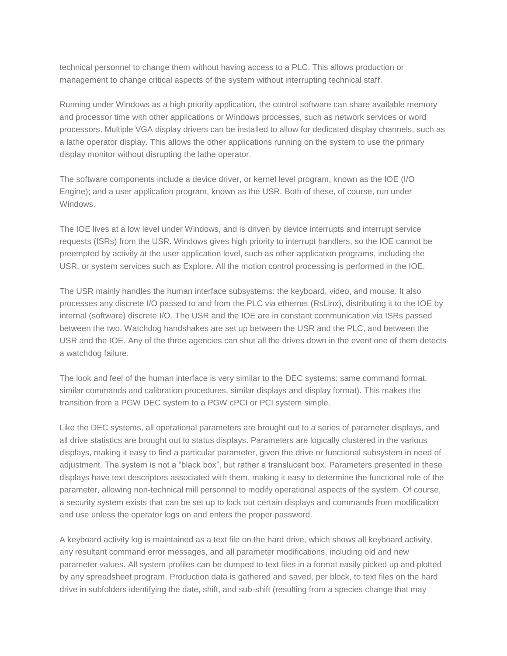technical personnel to change them without having access to a PLC. This allows production or management to change critical aspects of the system without interrupting technical staff.

Running under Windows as a high priority application, the control software can share available memory and processor time with other applications or Windows processes, such as network services or word processors. Multiple VGA display drivers can be installed to allow for dedicated display channels, such as a lathe operator display. This allows the other applications running on the system to use the primary display monitor without disrupting the lathe operator.

The software components include a device driver, or kernel level program, known as the IOE (I/O Engine); and a user application program, known as the USR. Both of these, of course, run under Windows.

The IOE lives at a low level under Windows, and is driven by device interrupts and interrupt service requests (ISRs) from the USR. Windows gives high priority to interrupt handlers, so the IOE cannot be preempted by activity at the user application level, such as other application programs, including the USR, or system services such as Explore. All the motion control processing is performed in the IOE.

The USR mainly handles the human interface subsystems: the keyboard, video, and mouse. It also processes any discrete I/O passed to and from the PLC via ethernet (RsLinx), distributing it to the IOE by internal (software) discrete I/O. The USR and the IOE are in constant communication via ISRs passed between the two. Watchdog handshakes are set up between the USR and the PLC, and between the USR and the IOE. Any of the three agencies can shut all the drives down in the event one of them detects a watchdog failure.

The look and feel of the human interface is very similar to the DEC systems: same command format, similar commands and calibration procedures, similar displays and display format). This makes the transition from a PGW DEC system to a PGW cPCI or PCI system simple.

Like the DEC systems, all operational parameters are brought out to a series of parameter displays, and all drive statistics are brought out to status displays. Parameters are logically clustered in the various displays, making it easy to find a particular parameter, given the drive or functional subsystem in need of adjustment. The system is not a "black box", but rather a translucent box. Parameters presented in these displays have text descriptors associated with them, making it easy to determine the functional role of the parameter, allowing non-technical mill personnel to modify operational aspects of the system. Of course, a security system exists that can be set up to lock out certain displays and commands from modification and use unless the operator logs on and enters the proper password.

A keyboard activity log is maintained as a text file on the hard drive, which shows all keyboard activity, any resultant command error messages, and all parameter modifications, including old and new parameter values. All system profiles can be dumped to text files in a format easily picked up and plotted by any spreadsheet program. Production data is gathered and saved, per block, to text files on the hard drive in subfolders identifying the date, shift, and sub-shift (resulting from a species change that may